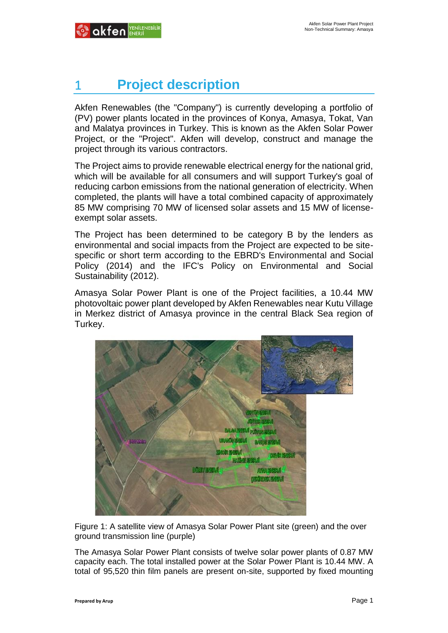# 1 **Project description**

Akfen Renewables (the "Company") is currently developing a portfolio of (PV) power plants located in the provinces of Konya, Amasya, Tokat, Van and Malatya provinces in Turkey. This is known as the Akfen Solar Power Project, or the "Project". Akfen will develop, construct and manage the project through its various contractors.

The Project aims to provide renewable electrical energy for the national grid, which will be available for all consumers and will support Turkey's goal of reducing carbon emissions from the national generation of electricity. When completed, the plants will have a total combined capacity of approximately 85 MW comprising 70 MW of licensed solar assets and 15 MW of licenseexempt solar assets.

The Project has been determined to be category B by the lenders as environmental and social impacts from the Project are expected to be sitespecific or short term according to the EBRD's Environmental and Social Policy (2014) and the IFC's Policy on Environmental and Social Sustainability (2012).

Amasya Solar Power Plant is one of the Project facilities, a 10.44 MW photovoltaic power plant developed by Akfen Renewables near Kutu Village in Merkez district of Amasya province in the central Black Sea region of Turkey.



Figure 1: A satellite view of Amasya Solar Power Plant site (green) and the over ground transmission line (purple)

The Amasya Solar Power Plant consists of twelve solar power plants of 0.87 MW capacity each. The total installed power at the Solar Power Plant is 10.44 MW. A total of 95,520 thin film panels are present on-site, supported by fixed mounting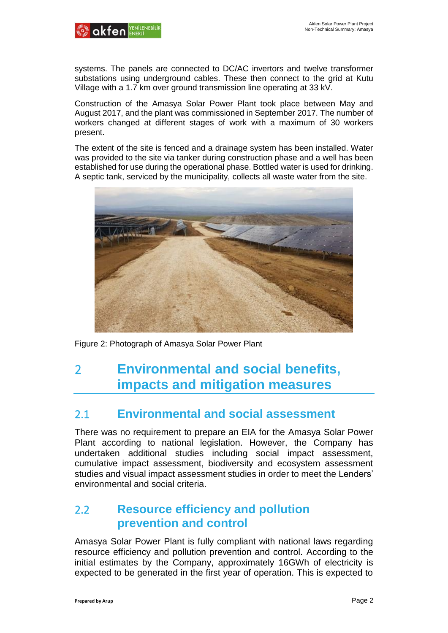

systems. The panels are connected to DC/AC invertors and twelve transformer substations using underground cables. These then connect to the grid at Kutu Village with a 1.7 km over ground transmission line operating at 33 kV.

Construction of the Amasya Solar Power Plant took place between May and August 2017, and the plant was commissioned in September 2017. The number of workers changed at different stages of work with a maximum of 30 workers present.

The extent of the site is fenced and a drainage system has been installed. Water was provided to the site via tanker during construction phase and a well has been established for use during the operational phase. Bottled water is used for drinking. A septic tank, serviced by the municipality, collects all waste water from the site.



Figure 2: Photograph of Amasya Solar Power Plant

## 2 **Environmental and social benefits, impacts and mitigation measures**

#### 2.1 **Environmental and social assessment**

There was no requirement to prepare an EIA for the Amasya Solar Power Plant according to national legislation. However, the Company has undertaken additional studies including social impact assessment, cumulative impact assessment, biodiversity and ecosystem assessment studies and visual impact assessment studies in order to meet the Lenders' environmental and social criteria.

## 2.2 **Resource efficiency and pollution prevention and control**

Amasya Solar Power Plant is fully compliant with national laws regarding resource efficiency and pollution prevention and control. According to the initial estimates by the Company, approximately 16GWh of electricity is expected to be generated in the first year of operation. This is expected to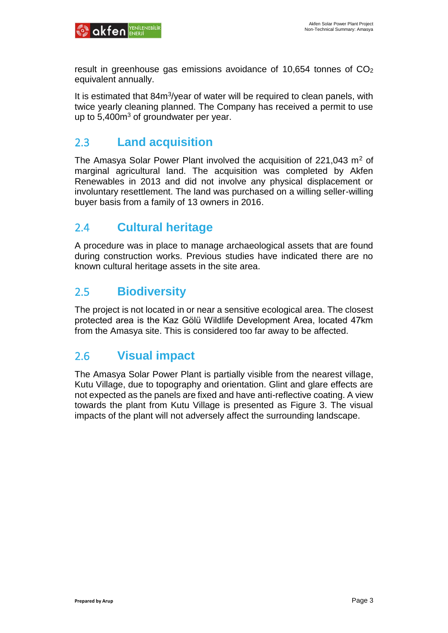

result in greenhouse gas emissions avoidance of 10,654 tonnes of CO<sub>2</sub> equivalent annually.

It is estimated that 84m<sup>3</sup>/year of water will be required to clean panels, with twice yearly cleaning planned. The Company has received a permit to use up to  $5,400m<sup>3</sup>$  of groundwater per year.

#### 2.3 **Land acquisition**

The Amasya Solar Power Plant involved the acquisition of 221,043  $m<sup>2</sup>$  of marginal agricultural land. The acquisition was completed by Akfen Renewables in 2013 and did not involve any physical displacement or involuntary resettlement. The land was purchased on a willing seller-willing buyer basis from a family of 13 owners in 2016.

## 2.4 **Cultural heritage**

A procedure was in place to manage archaeological assets that are found during construction works. Previous studies have indicated there are no known cultural heritage assets in the site area.

#### 2.5 **Biodiversity**

The project is not located in or near a sensitive ecological area. The closest protected area is the Kaz Gölü Wildlife Development Area, located 47km from the Amasya site. This is considered too far away to be affected.

#### 2.6 **Visual impact**

The Amasya Solar Power Plant is partially visible from the nearest village, Kutu Village, due to topography and orientation. Glint and glare effects are not expected as the panels are fixed and have anti-reflective coating. A view towards the plant from Kutu Village is presented as Figure 3. The visual impacts of the plant will not adversely affect the surrounding landscape.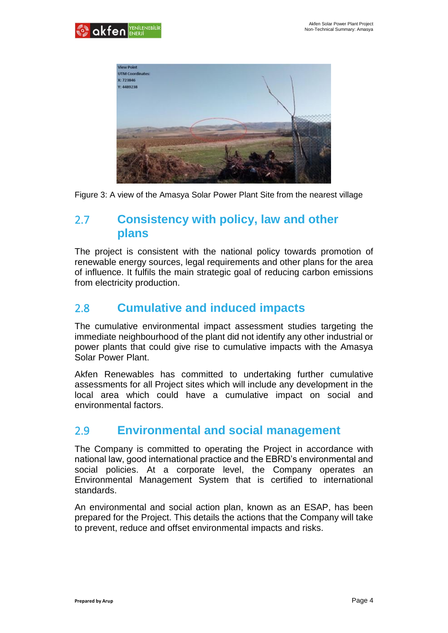



Figure 3: A view of the Amasya Solar Power Plant Site from the nearest village

### 2.7 **Consistency with policy, law and other plans**

The project is consistent with the national policy towards promotion of renewable energy sources, legal requirements and other plans for the area of influence. It fulfils the main strategic goal of reducing carbon emissions from electricity production.

## 2.8 **Cumulative and induced impacts**

The cumulative environmental impact assessment studies targeting the immediate neighbourhood of the plant did not identify any other industrial or power plants that could give rise to cumulative impacts with the Amasya Solar Power Plant.

Akfen Renewables has committed to undertaking further cumulative assessments for all Project sites which will include any development in the local area which could have a cumulative impact on social and environmental factors.

#### 2.9 **Environmental and social management**

The Company is committed to operating the Project in accordance with national law, good international practice and the EBRD's environmental and social policies. At a corporate level, the Company operates an Environmental Management System that is certified to international standards.

An environmental and social action plan, known as an ESAP, has been prepared for the Project. This details the actions that the Company will take to prevent, reduce and offset environmental impacts and risks.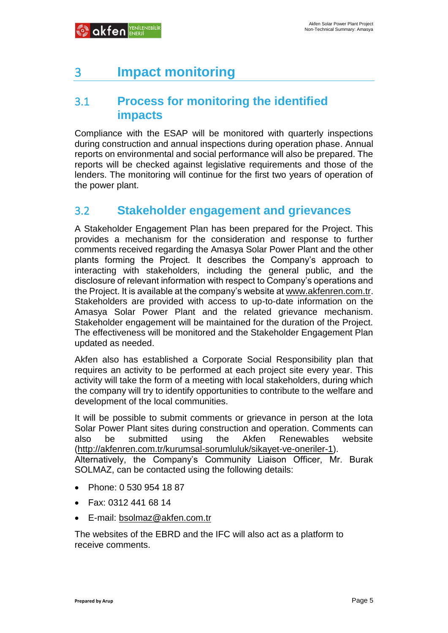## 3 **Impact monitoring**

#### 3.1 **Process for monitoring the identified impacts**

Compliance with the ESAP will be monitored with quarterly inspections during construction and annual inspections during operation phase. Annual reports on environmental and social performance will also be prepared. The reports will be checked against legislative requirements and those of the lenders. The monitoring will continue for the first two years of operation of the power plant.

## 3.2 **Stakeholder engagement and grievances**

A Stakeholder Engagement Plan has been prepared for the Project. This provides a mechanism for the consideration and response to further comments received regarding the Amasya Solar Power Plant and the other plants forming the Project. It describes the Company's approach to interacting with stakeholders, including the general public, and the disclosure of relevant information with respect to Company's operations and the Project. It is available at the company's website at [www.akfenren.com.tr.](http://www.akfenren.com.tr/) Stakeholders are provided with access to up-to-date information on the Amasya Solar Power Plant and the related grievance mechanism. Stakeholder engagement will be maintained for the duration of the Project. The effectiveness will be monitored and the Stakeholder Engagement Plan updated as needed.

Akfen also has established a Corporate Social Responsibility plan that requires an activity to be performed at each project site every year. This activity will take the form of a meeting with local stakeholders, during which the company will try to identify opportunities to contribute to the welfare and development of the local communities.

It will be possible to submit comments or grievance in person at the Iota Solar Power Plant sites during construction and operation. Comments can also be submitted using the Akfen Renewables website [\(http://akfenren.com.tr/kurumsal-sorumluluk/sikayet-ve-oneriler-1\)](http://akfenren.com.tr/kurumsal-sorumluluk/sikayet-ve-oneriler-1). Alternatively, the Company's Community Liaison Officer, Mr. Burak SOLMAZ, can be contacted using the following details:

- Phone: 0 530 954 18 87
- Fax: 0312 441 68 14
- E-mail: [bsolmaz@akfen.com.tr](mailto:bsolmaz@akfen.com.tr)

The websites of the EBRD and the IFC will also act as a platform to receive comments.